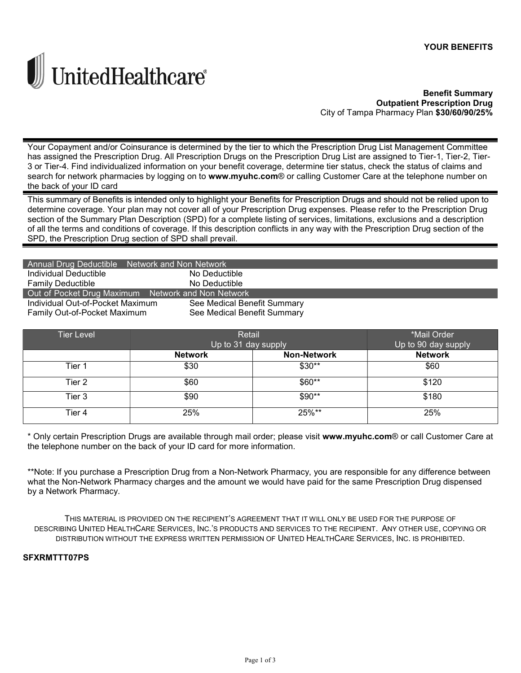

**Benefit Summary Outpatient Prescription Drug** City of Tampa Pharmacy Plan \$30/60/90/25%

Your Copayment and/or Coinsurance is determined by the tier to which the Prescription Drug List Management Committee has assigned the Prescription Drug. All Prescription Drugs on the Prescription Drug List are assigned to Tier-1, Tier-2, Tier-3 or Tier-4. Find individualized information on your benefit coverage, determine tier status, check the status of claims and search for network pharmacies by logging on to www.myuhc.com® or calling Customer Care at the telephone number on the back of your ID card

This summary of Benefits is intended only to highlight your Benefits for Prescription Drugs and should not be relied upon to determine coverage. Your plan may not cover all of your Prescription Drug expenses. Please refer to the Prescription Drug section of the Summary Plan Description (SPD) for a complete listing of services, limitations, exclusions and a description of all the terms and conditions of coverage. If this description conflicts in any way with the Prescription Drug section of the SPD, the Prescription Drug section of SPD shall prevail.

| Annual Drug Deductible Network and Non Network     |                             |  |  |
|----------------------------------------------------|-----------------------------|--|--|
| Individual Deductible                              | No Deductible               |  |  |
| <b>Family Deductible</b>                           | No Deductible               |  |  |
| Out of Pocket Drug Maximum Network and Non Network |                             |  |  |
| Individual Out-of-Pocket Maximum                   | See Medical Benefit Summary |  |  |
| Family Out-of-Pocket Maximum                       | See Medical Benefit Summary |  |  |

| <b>Tier Level</b> | Retail              |                    | *Mail Order         |
|-------------------|---------------------|--------------------|---------------------|
|                   | Up to 31 day supply |                    | Up to 90 day supply |
|                   | <b>Network</b>      | <b>Non-Network</b> | <b>Network</b>      |
| Tier 1            | \$30                | $$30**$            | \$60                |
| Tier 2            | \$60                | \$60**             | \$120               |
| Tier 3            | \$90                | $$90**$            | \$180               |
| Tier 4            | 25%                 | 25%**              | 25%                 |

\* Only certain Prescription Drugs are available through mail order; please visit www.myuhc.com® or call Customer Care at the telephone number on the back of your ID card for more information.

\*\*Note: If you purchase a Prescription Drug from a Non-Network Pharmacy, you are responsible for any difference between what the Non-Network Pharmacy charges and the amount we would have paid for the same Prescription Drug dispensed by a Network Pharmacy.

THIS MATERIAL IS PROVIDED ON THE RECIPIENT'S AGREEMENT THAT IT WILL ONLY BE USED FOR THE PURPOSE OF DESCRIBING UNITED HEALTHCARE SERVICES, INC.'S PRODUCTS AND SERVICES TO THE RECIPIENT. ANY OTHER USE, COPYING OR DISTRIBUTION WITHOUT THE EXPRESS WRITTEN PERMISSION OF UNITED HEALTHCARE SERVICES, INC. IS PROHIBITED.

# **SFXRMTTT07PS**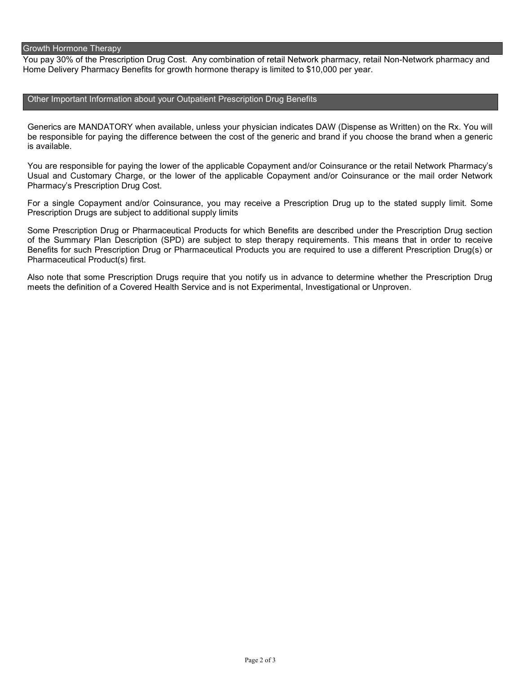### Growth Hormone Therapy

 You pay 30% of the Prescription Drug Cost. Any combination of retail Network pharmacy, retail Non-Network pharmacy and Home Delivery Pharmacy Benefits for growth hormone therapy is limited to \$10,000 per year.

## Other Important Information about your Outpatient Prescription Drug Benefits

 Generics are MANDATORY when available, unless your physician indicates DAW (Dispense as Written) on the Rx. You will be responsible for paying the difference between the cost of the generic and brand if you choose the brand when a generic is available.

 You are responsible for paying the lower of the applicable Copayment and/or Coinsurance or the retail Network Pharmacy's Usual and Customary Charge, or the lower of the applicable Copayment and/or Coinsurance or the mail order Network Pharmacy's Prescription Drug Cost.

 For a single Copayment and/or Coinsurance, you may receive a Prescription Drug up to the stated supply limit. Some Prescription Drugs are subject to additional supply limits

 Some Prescription Drug or Pharmaceutical Products for which Benefits are described under the Prescription Drug section of the Summary Plan Description (SPD) are subject to step therapy requirements. This means that in order to receive Benefits for such Prescription Drug or Pharmaceutical Products you are required to use a different Prescription Drug(s) or Pharmaceutical Product(s) first.

 Also note that some Prescription Drugs require that you notify us in advance to determine whether the Prescription Drug meets the definition of a Covered Health Service and is not Experimental, Investigational or Unproven.